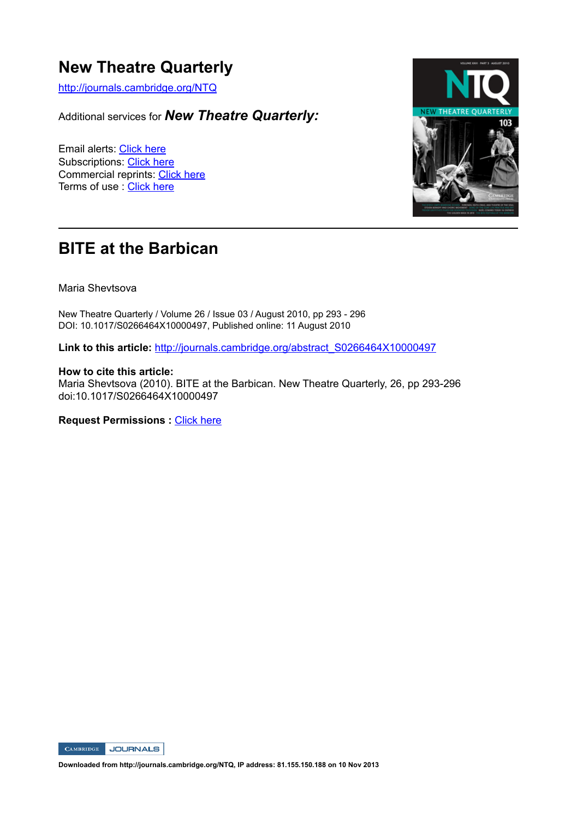### **New Theatre Quarterly**

http://journals.cambridge.org/NTQ

Additional services for *New Theatre Quarterly:*

Email alerts: Click here Subscriptions: Click here Commercial reprints: Click here Terms of use : Click here



## **BITE at the Barbican**

Maria Shevtsova

New Theatre Quarterly / Volume 26 / Issue 03 / August 2010, pp 293 - 296 DOI: 10.1017/S0266464X10000497, Published online: 11 August 2010

**Link to this article:** http://journals.cambridge.org/abstract\_S0266464X10000497

#### **How to cite this article:**

Maria Shevtsova (2010). BITE at the Barbican. New Theatre Quarterly, 26, pp 293-296 doi:10.1017/S0266464X10000497

**Request Permissions :** Click here



**Downloaded from http://journals.cambridge.org/NTQ, IP address: 81.155.150.188 on 10 Nov 2013**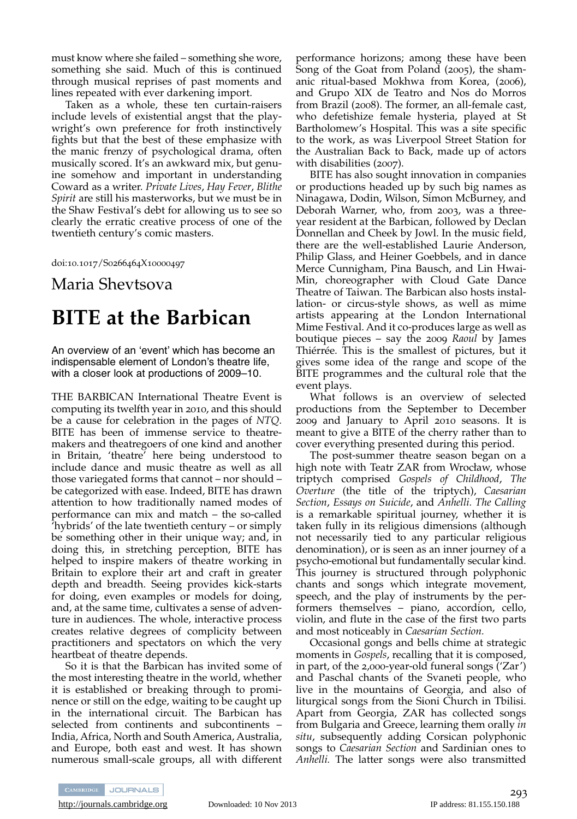must know where she failed – something she wore, something she said. Much of this is continued through musical reprises of past moments and lines repeated with ever darkening import.

Taken as a whole, these ten curtain-raisers include levels of existential angst that the playwright's own preference for froth instinctively fights but that the best of these emphasize with the manic frenzy of psychological drama, often musically scored. It's an awkward mix, but genu ine somehow and important in understanding Coward as a writer. *Private Lives*, *Hay Fever*, *Blithe Spirit* are still his masterworks, but we must be in the Shaw Festival's debt for allowing us to see so clearly the erratic creative process of one of the twentieth century's comic masters.

doi:10.1017/S0266464X10000497

### Maria Shevtsova

# **BITE at the Barbican**

An overview of an ʻevent' which has become an indispensable element of London's theatre life, with a closer look at productions of 2009–10.

THE BARBICAN International Theatre Event is computing its twelfth year in 2010, and this should be a cause for celebration in the pages of *NTQ*. BITE has been of immense service to theatremakers and theatregoers of one kind and another in Britain, 'theatre' here being understood to include dance and music theatre as well as all those variegated forms that cannot – nor should – be categorized with ease. Indeed, BITE has drawn attention to how traditionally named modes of performance can mix and match – the so-called 'hybrids' of the late twentieth century – or simply be something other in their unique way; and, in doing this, in stretching perception, BITE has helped to inspire makers of theatre working in Britain to explore their art and craft in greater depth and breadth. Seeing provides kick-starts for doing, even examples or models for doing, and, at the same time, cultivates a sense of adventure in audiences. The whole, interactive process creates relative degrees of complicity between practitioners and spectators on which the very heartbeat of theatre depends.

So it is that the Barbican has invited some of the most interesting theatre in the world, whether it is established or breaking through to prominence or still on the edge, waiting to be caught up in the international circuit. The Barbican has selected from continents and subcontinents – India, Africa, North and South America, Australia, and Europe, both east and west. It has shown numerous small-scale groups, all with different

performance horizons; among these have been Song of the Goat from Poland (2005), the shamanic ritual-based Mokhwa from Korea, (2006), and Grupo XIX de Teatro and Nos do Morros from Brazil (2008). The former, an all-female cast, who defetishize female hysteria, played at St Bartholomew's Hospital. This was a site specific to the work, as was Liverpool Street Station for the Australian Back to Back, made up of actors with disabilities (2007).

BITE has also sought innovation in companies or productions headed up by such big names as Ninagawa, Dodin, Wilson, Simon McBurney, and Deborah Warner, who, from 2003, was a threeyear resident at the Barbican, followed by Declan Donnellan and Cheek by Jowl. In the music field, there are the well-established Laurie Anderson, Philip Glass, and Heiner Goebbels, and in dance Merce Cunnigham, Pina Bausch, and Lin Hwai-Min, choreographer with Cloud Gate Dance Theatre of Taiwan. The Barbican also hosts installation- or circus-style shows, as well as mime artists appearing at the London International Mime Festival. And it co-produces large as well as boutique pieces – say the 2009 *Raoul* by James Thiérrée. This is the smallest of pictures, but it gives some idea of the range and scope of the BITE programmes and the cultural role that the event plays.

What follows is an overview of selected productions from the September to December 2009 and January to April 2010 seasons. It is meant to give a BITE of the cherry rather than to cover everything presented during this period.

The post-summer theatre season began on a high note with Teatr ZAR from Wrocław, whose triptych comprised *Gospels of Childhood*, *The Overture* (the title of the triptych), *Caesarian Section*, *Essays on Suicide*, and *Anhelli. The Calling* is a remarkable spiritual journey, whether it is taken fully in its religious dimensions (although not necessarily tied to any particular religious denomination), or is seen as an inner journey of a psycho-emotional but fundamentally secular kind. This journey is structured through polyphonic chants and songs which integrate movement, speech, and the play of instruments by the performers themselves – piano, accordion, cello, violin, and flute in the case of the first two parts and most noticeably in *Caesarian Section.*

Occasional gongs and bells chime at strategic moments in *Gospels*, recalling that it is composed, in part, of the 2,000-year-old funeral songs ('Zar') and Paschal chants of the Svaneti people, who live in the mountains of Georgia, and also of liturgical songs from the Sioni Church in Tbilisi. Apart from Georgia, ZAR has collected songs from Bulgaria and Greece, learning them orally *in situ*, subsequently adding Corsican polyphonic songs to *Caesarian Section* and Sardinian ones to *Anhelli.* The latter songs were also transmitted

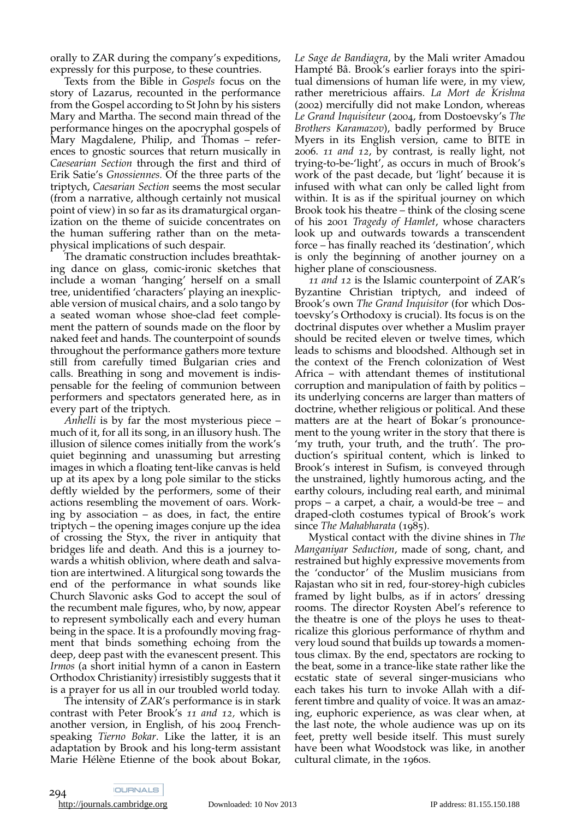orally to ZAR during the company's expeditions, expressly for this purpose, to these countries.

Texts from the Bible in *Gospels* focus on the story of Lazarus, recounted in the performance from the Gospel according to St John by his sisters Mary and Martha. The second main thread of the performance hinges on the apocryphal gospels of Mary Magdalene, Philip, and Thomas - references to gnostic sources that return musically in *Caesearian Section* through the first and third of Erik Satie's *Gnossiennes.* Of the three parts of the triptych, *Caesarian Section* seems the most secular (from a narrative, although certainly not musical point of view) in so far as its dramaturgical organization on the theme of suicide concentrates on the human suffering rather than on the metaphysical implications of such despair.

The dramatic construction includes breathtaking dance on glass, comic-ironic sketches that include a woman 'hanging' herself on a small tree, unidentified 'characters' playing an inexplic able version of musical chairs, and a solo tango by a seated woman whose shoe-clad feet complement the pattern of sounds made on the floor by naked feet and hands. The counterpoint of sounds throughout the performance gathers more texture still from carefully timed Bulgarian cries and calls. Breathing in song and movement is indispensable for the feeling of communion between performers and spectators generated here, as in every part of the triptych.

*Anhelli* is by far the most mysterious piece – much of it, for all its song, in an illusory hush. The illusion of silence comes initially from the work's quiet beginning and unassuming but arresting images in which a floating tent-like canvas is held up at its apex by a long pole similar to the sticks deftly wielded by the performers, some of their actions resembling the movement of oars. Working by association – as does, in fact, the entire triptych – the opening images conjure up the idea of crossing the Styx, the river in antiquity that bridges life and death. And this is a journey towards a whitish oblivion, where death and salva tion are intertwined. A liturgical song towards the end of the performance in what sounds like Church Slavonic asks God to accept the soul of the recumbent male figures, who, by now, appear to represent symbolically each and every human being in the space. It is a profoundly moving fragment that binds something echoing from the deep, deep past with the evanescent present. This *Irmos* (a short initial hymn of a canon in Eastern Orthodox Christianity) irresistibly suggests that it is a prayer for us all in our troubled world today.

The intensity of ZAR's performance is in stark contrast with Peter Brook's *11 and 12,* which is another version, in English, of his 2004 Frenchspeaking *Tierno Bokar*. Like the latter, it is an adaptation by Brook and his long-term assistant Marie Hélène Etienne of the book about Bokar, *Le Sage de Bandiagra*, by the Mali writer Amadou Hampté Bâ. Brook's earlier forays into the spiritual dimensions of human life were, in my view, rather meretricious affairs. *La Mort de Krishna* (2002) mercifully did not make London, whereas *Le Grand Inquisiteur* (2004, from Dostoevsky's *The Brothers Karamazov*), badly performed by Bruce Myers in its English version, came to BITE in 2006. *11 and 12*, by contrast, is really light, not trying-to-be-'light', as occurs in much of Brook's work of the past decade, but 'light' because it is infused with what can only be called light from within. It is as if the spiritual journey on which Brook took his theatre – think of the closing scene of his 2001 *Tragedy of Hamlet*, whose characters look up and outwards towards a transcendent force – has finally reached its 'destination', which is only the beginning of another journey on a higher plane of consciousness.

*11 and 12* is the Islamic counterpoint of ZAR's Byzantine Christian triptych, and indeed of Brook's own *The Grand Inquisitor* (for which Dostoevsky's Orthodoxy is crucial). Its focus is on the doctrinal disputes over whether a Muslim prayer should be recited eleven or twelve times, which leads to schisms and bloodshed. Although set in the context of the French colonization of West Africa – with attendant themes of institutional corruption and manipulation of faith by politics – its underlying concerns are larger than matters of doctrine, whether religious or political. And these matters are at the heart of Bokar's pronouncement to the young writer in the story that there is 'my truth, your truth, and the truth'. The production's spiritual content, which is linked to Brook's interest in Sufism, is conveyed through the unstrained, lightly humorous acting, and the earthy colours, including real earth, and minimal props – a carpet, a chair, a would-be tree – and draped-cloth costumes typical of Brook's work since *The Mahabharata* (1985).

Mystical contact with the divine shines in *The Manganiyar Seduction*, made of song, chant, and restrained but highly expressive movements from the 'conductor' of the Muslim musicians from Rajastan who sit in red, four-storey-high cubicles framed by light bulbs, as if in actors' dressing rooms. The director Roysten Abel's reference to the theatre is one of the ploys he uses to theatricalize this glorious performance of rhythm and very loud sound that builds up towards a momentous climax. By the end, spectators are rocking to the beat, some in a trance-like state rather like the ecstatic state of several singer-musicians who each takes his turn to invoke Allah with a different timbre and quality of voice. It was an amazing, euphoric experience, as was clear when, at the last note, the whole audience was up on its feet, pretty well beside itself. This must surely have been what Woodstock was like, in another cultural climate, in the 1960s.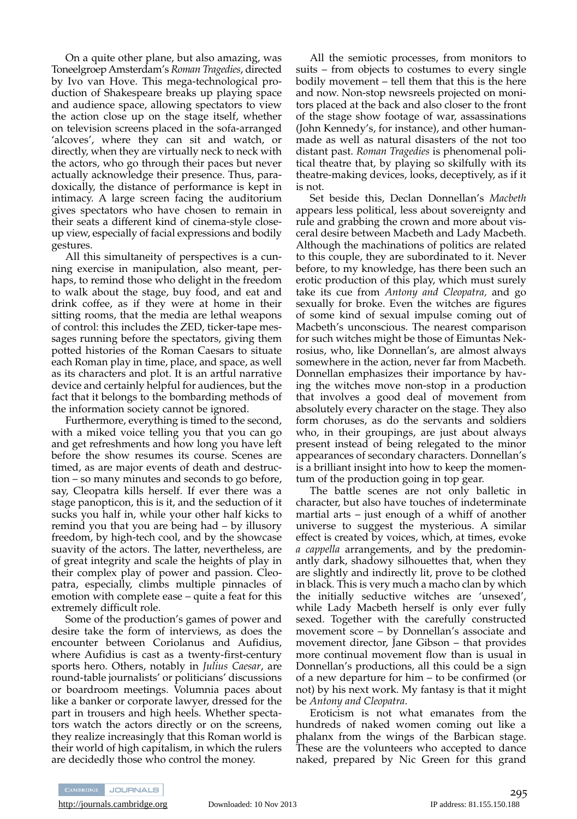On a quite other plane, but also amazing, was Toneelgroep Amsterdam's *Roman Tragedies*, directed by Ivo van Hove. This mega-technological production of Shakespeare breaks up playing space and audience space, allowing spectators to view the action close up on the stage itself, whether on television screens placed in the sofa-arranged 'alcoves', where they can sit and watch, or directly, when they are virtually neck to neck with the actors, who go through their paces but never actually acknowledge their presence. Thus, paradoxically, the distance of performance is kept in intimacy. A large screen facing the auditorium gives spectators who have chosen to remain in their seats a different kind of cinema-style closeup view, especially of facial expressions and bodily gestures.

All this simultaneity of perspectives is a cunning exercise in manipulation, also meant, perhaps, to remind those who delight in the freedom to walk about the stage, buy food, and eat and drink coffee, as if they were at home in their sitting rooms, that the media are lethal weapons of control: this includes the ZED, ticker-tape messages running before the spectators, giving them potted histories of the Roman Caesars to situate each Roman play in time, place, and space, as well as its characters and plot. It is an artful narrative device and certainly helpful for audiences, but the fact that it belongs to the bombarding methods of the information society cannot be ignored.

Furthermore, everything is timed to the second, with a miked voice telling you that you can go and get refreshments and how long you have left before the show resumes its course. Scenes are timed, as are major events of death and destruction – so many minutes and seconds to go before, say, Cleopatra kills herself. If ever there was a stage panopticon, this is it, and the seduction of it sucks you half in, while your other half kicks to remind you that you are being had – by illusory freedom, by high-tech cool, and by the showcase suavity of the actors. The latter, nevertheless, are of great integrity and scale the heights of play in their complex play of power and passion. Cleopatra, especially, climbs multiple pinnacles of emotion with complete ease – quite a feat for this extremely difficult role.

Some of the production's games of power and desire take the form of interviews, as does the encounter between Coriolanus and Aufidius, where Aufidius is cast as a twenty-first-century sports hero. Others, notably in *Julius Caesar*, are round-table journalists' or politicians' discussions or boardroom meetings. Volumnia paces about like a banker or corporate lawyer, dressed for the part in trousers and high heels. Whether spectators watch the actors directly or on the screens, they realize increasingly that this Roman world is their world of high capitalism, in which the rulers are decidedly those who control the money.

All the semiotic processes, from monitors to suits – from objects to costumes to every single bodily movement – tell them that this is the here and now. Non-stop newsreels projected on monitors placed at the back and also closer to the front of the stage show footage of war, assassinations (John Kennedy's, for instance), and other humanmade as well as natural disasters of the not too distant past. *Roman Tragedies* is phenomenal poli tical theatre that, by playing so skilfully with its theatre-making devices, looks, deceptively, as if it is not.

Set beside this, Declan Donnellan's *Macbeth* appears less political, less about sovereignty and rule and grabbing the crown and more about visceral desire between Macbeth and Lady Macbeth. Although the machinations of politics are related to this couple, they are subordinated to it. Never before, to my knowledge, has there been such an erotic production of this play, which must surely take its cue from *Antony and Cleopatra,* and go sexually for broke. Even the witches are figures of some kind of sexual impulse coming out of Macbeth's unconscious. The nearest comparison for such witches might be those of Eimuntas Nek rosius, who, like Donnellan's, are almost always somewhere in the action, never far from Macbeth. Donnellan emphasizes their importance by having the witches move non-stop in a production that involves a good deal of movement from absolutely every character on the stage. They also form choruses, as do the servants and soldiers who, in their groupings, are just about always present instead of being relegated to the minor appearances of secondary characters. Donnellan's is a brilliant insight into how to keep the momentum of the production going in top gear.

The battle scenes are not only balletic in character, but also have touches of indeterminate martial arts – just enough of a whiff of another universe to suggest the mysterious. A similar effect is created by voices, which, at times, evoke *a cappella* arrangements, and by the predominantly dark, shadowy silhouettes that, when they are slightly and indirectly lit, prove to be clothed in black. This is very much a macho clan by which the initially seductive witches are 'unsexed', while Lady Macbeth herself is only ever fully sexed. Together with the carefully constructed movement score – by Donnellan's associate and movement director, Jane Gibson – that provides more continual movement flow than is usual in Donnellan's productions, all this could be a sign of a new departure for him – to be confirmed (or not) by his next work. My fantasy is that it might be *Antony and Cleopatra*.

Eroticism is not what emanates from the hundreds of naked women coming out like a phalanx from the wings of the Barbican stage. These are the volunteers who accepted to dance naked, prepared by Nic Green for this grand



<http://journals.cambridge.org> Downloaded: 10 Nov 2013 IP address: 81.155.150.188